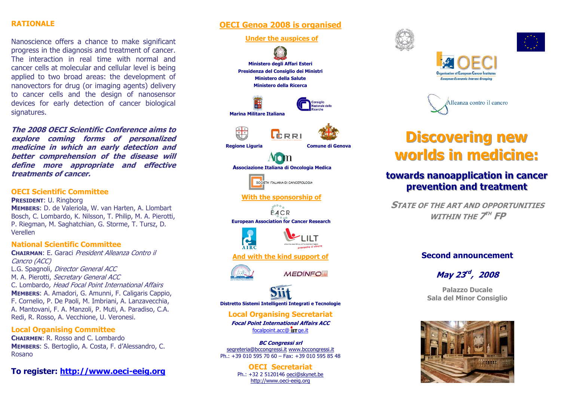### **RATIONALE**

Nanoscience offers a chance to make significant progress in the diagnosis and treatment of cancer. The interaction in real time with normal and cancer cells at molecular and cellular level is being applied to two broad areas: the development of nanovectors for drug (or imaging agents) delivery to cancer cells and the design of nanosensor devices for early detection of cancer biological signatures.

**The 2008 OECI Scientific Conference aims to explore coming forms of personalized medicine in which an early detection and better comprehension of the disease will define more appropriate and effective treatments of cancer.** 

#### **OECI Scientific Committee**

**PRESIDENT**: U. Ringborg **MEMBERS**: D. de Valeriola, W. van Harten, A. Llombart Bosch, C. Lombardo, K. Nilsson, T. Philip, M. A. Pierotti, P. Riegman, M. Saghatchian, G. Storme, T. Tursz, D. Verellen

#### **National Scientific Committee**

**CHAIRMAN**: E. Garaci President Alleanza Contro il Cancro (ACC) L.G. Spagnoli, Director General ACC M. A. Pierotti, Secretary General ACC C. Lombardo, Head Focal Point International Affairs **MEMBERS**: A. Amadori, G. Amunni, F. Caligaris Cappio, F. Cornelio, P. De Paoli, M. Imbriani, A. Lanzavecchia, A. Mantovani, F. A. Manzoli, P. Muti, A. Paradiso, C.A. Redi, R. Rosso, A. Vecchione, U. Veronesi.

**Local Organising Committee CHAIRMEN**: R. Rosso and C. Lombardo **MEMBERS**: S. Bertoglio, A. Costa, F. d'Alessandro, C. Rosano

**To register: http://www.oeci-eeig.org**

## **OECI Genoa 2008 is organised**



http://www.oeci-eeig.org







# **Discovering new worlds in medicine:**

## towards nanoapplication in cancer prevention and treatment

**STATE OF THE ART AND OPPORTUNITIES WITHIN THE 7TH FP** 

## **Second announcement**

**May 23rd , <sup>2008</sup>**

**Palazzo Ducale Sala del Minor Consiglio**